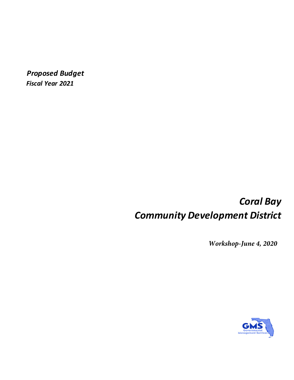*Proposed Budget Fiscal Year 2021*

# *Coral Bay Community Development District*

*Workshop-June 4, 2020*

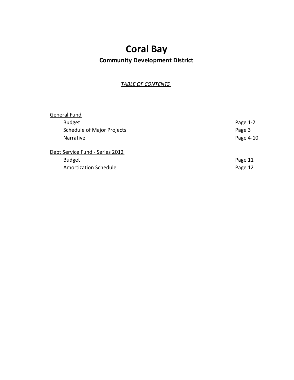# **Coral Bay**

## **Community Development District**

*TABLE OF CONTENTS*

| General Fund                      |            |
|-----------------------------------|------------|
| <b>Budget</b>                     | Page $1-2$ |
| <b>Schedule of Major Projects</b> | Page 3     |
| <b>Narrative</b>                  | Page 4-10  |
| Debt Service Fund - Series 2012   |            |
| <b>Budget</b>                     | Page 11    |
| <b>Amortization Schedule</b>      | Page 12    |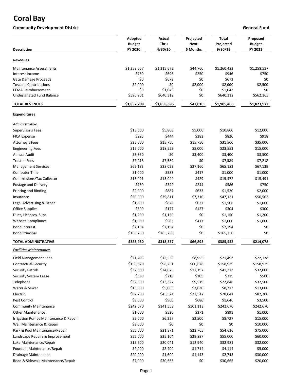## **Coral Bay**

#### **Community Development District Community Development District Community Development District**

| <b>Description</b>                    | Adopted<br><b>Budget</b><br>FY 2020 | Actual<br>Thru<br>4/30/20 | Projected<br>Next<br>5 Months | <b>Total</b><br>Projected<br>9/30/19 | Proposed<br><b>Budget</b><br>FY 2021 |
|---------------------------------------|-------------------------------------|---------------------------|-------------------------------|--------------------------------------|--------------------------------------|
| <b>Revenues</b>                       |                                     |                           |                               |                                      |                                      |
| <b>Maintenance Assessments</b>        | \$1,258,557                         | \$1,215,672               | \$44,760                      | \$1,260,432                          | \$1,258,557                          |
| Interest Income                       | \$750                               | \$696                     | \$250                         | \$946                                | \$750                                |
| Gate Damage Proceeds                  | \$0                                 | \$673                     | \$0                           | \$673                                | \$0                                  |
| <b>Toscana Contributions</b>          | \$2,000                             | \$0                       | \$2,000                       | \$2,000                              | \$2,500                              |
| <b>FEMA Reimbursement</b>             | \$0                                 | \$1,043                   | \$0                           | \$1,043                              | \$0                                  |
| Undesignated Fund Balance             | \$595,901                           | \$640,312                 | \$0                           | \$640,312                            | \$562,165                            |
| <b>TOTAL REVENUES</b>                 | \$1,857,209                         | \$1,858,396               | \$47,010                      | \$1,905,406                          | \$1,823,972                          |
| <b>Expenditures</b>                   |                                     |                           |                               |                                      |                                      |
| <u>Administrative</u>                 |                                     |                           |                               |                                      |                                      |
| Supervisor's Fees                     | \$13,000                            | \$5,800                   | \$5,000                       | \$10,800                             | \$12,000                             |
| <b>FICA Expense</b>                   | \$995                               | \$444                     | \$383                         | \$826                                | \$918                                |
| Attorney's Fees                       | \$35,000                            | \$15,750                  | \$15,750                      | \$31,500                             | \$35,000                             |
| <b>Engineering Fees</b>               | \$15,000                            | \$18,553                  | \$5,000                       | \$23,553                             | \$15,000                             |
| Annual Audit                          | \$3,850                             | \$0                       | \$3,400                       | \$3,400                              | \$3,500                              |
| <b>Trustee Fees</b>                   | \$7,218                             | \$7,589                   | \$0                           | \$7,589                              | \$7,218                              |
| <b>Management Services</b>            | \$65,183                            | \$38,023                  | \$27,160                      | \$65,183                             | \$67,139                             |
| <b>Computer Time</b>                  | \$1,000                             | \$583                     | \$417                         | \$1,000                              | \$1,000                              |
| <b>Commissions/Tax Collector</b>      | \$15,491                            | \$15,044                  | \$429                         | \$15,472                             | \$15,491                             |
| Postage and Delivery                  | \$750                               | \$342                     | \$244                         | \$586                                | \$750                                |
| <b>Printing and Binding</b>           | \$2,000                             | \$887                     | \$633                         | \$1,520                              | \$2,000                              |
| Insurance                             | \$50,000                            | \$39,811                  | \$7,310                       | \$47,121                             | \$50,562                             |
| Legal Advertising & Other             | \$1,000                             | \$878                     | \$627                         | \$1,506                              | \$1,000                              |
| <b>Office Supplies</b>                | \$300                               | \$177                     | \$127                         | \$304                                | \$300                                |
| Dues, Licenses, Subs                  | \$1,200                             | \$1,150                   | \$0                           | \$1,150                              | \$1,200                              |
| <b>Website Compliance</b>             | \$1,000                             | \$583                     | \$417                         | \$1,000                              | \$1,000                              |
| <b>Bond Interest</b>                  | \$7,194                             | \$7,194                   | \$0                           | \$7,194                              | \$0                                  |
| <b>Bond Principal</b>                 | \$165,750                           | \$165,750                 | \$0                           | \$165,750                            | \$0                                  |
| <b>TOTAL ADMINISTRATIVE</b>           | \$385,930                           | \$318,557                 | \$66,895                      | \$385,452                            | \$214,078                            |
| <u>Facilities Maintenance</u>         |                                     |                           |                               |                                      |                                      |
| <b>Field Management Fees</b>          | \$21,493                            | \$12,538                  | \$8,955                       | \$21,493                             | \$22,138                             |
| Contractual-Security                  | \$158,929                           | \$98,251                  | \$60,678                      | \$158,929                            | \$158,929                            |
| <b>Security Patrols</b>               | \$32,000                            | \$24,076                  | \$17,197                      | \$41,273                             | \$32,000                             |
| Security System Lease                 | \$500                               | \$210                     | \$105                         | \$315                                | \$500                                |
| Telephone                             | \$32,500                            | \$13,327                  | \$9,519                       | \$22,846                             | \$32,500                             |
| Water & Sewer                         | \$13,000                            | \$5,083                   | \$3,630                       | \$8,713                              | \$13,000                             |
| Electric                              | \$82,700                            | \$45,524                  | \$32,517                      | \$78,041                             | \$82,700                             |
| Pest Control                          | \$3,500                             | \$960                     | \$686                         | \$1,646                              | \$3,500                              |
| <b>Community Maintenance</b>          | \$242,670                           | \$141,558                 | \$101,113                     | \$242,670                            | \$242,670                            |
| <b>Other Maintenance</b>              | \$1,000                             | \$520                     | \$371                         | \$891                                | \$1,000                              |
| Irrigation Pumps Maintenance & Repair | \$5,000                             | \$6,227                   | \$2,500                       | \$8,727                              | \$15,000                             |
| Wall Maintenance & Repair             | \$3,000                             | \$0                       | \$0                           | \$0                                  | \$10,000                             |
| Park & Pool Maintenance/Repair        | \$55,000                            | \$31,871                  | \$22,765                      | \$54,636                             | \$75,000                             |
| Landscape Repairs & Improvement       | \$55,000                            | \$25,104                  | \$29,897                      | \$55,000                             | \$60,000                             |
| Lake Maintenance/Repair               | \$15,600                            | \$20,041                  | \$12,940                      | \$32,981                             | \$32,000                             |
| Fountain Maintenance/Repair           | \$4,000                             | \$2,400                   | \$1,714                       | \$4,114                              | \$5,000                              |
| Drainage Maintenance                  | \$20,000                            | \$1,600                   | \$1,143                       | \$2,743                              | \$30,000                             |
| Road & Sidewalk Maintenance/Repair    | \$7,000                             | \$30,665                  | \$0                           | \$30,665                             | \$20,000                             |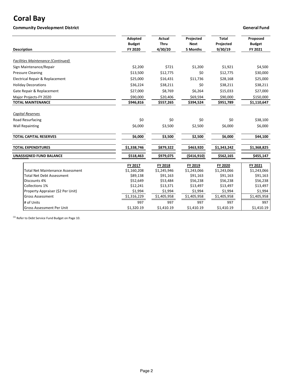## **Coral Bay**

### **Community Development District Community Development District Community Development District**

| <b>Description</b>                        | Adopted<br><b>Budget</b><br>FY 2020 | <b>Actual</b><br><b>Thru</b><br>4/30/20 | Projected<br><b>Next</b><br>5 Months | <b>Total</b><br>Projected<br>9/30/19 | Proposed<br><b>Budget</b><br>FY 2021 |
|-------------------------------------------|-------------------------------------|-----------------------------------------|--------------------------------------|--------------------------------------|--------------------------------------|
| <b>Facilities Maintenance (Continued)</b> |                                     |                                         |                                      |                                      |                                      |
| Sign Maintenance/Repair                   | \$2,200                             | \$721                                   | \$1,200                              | \$1,921                              | \$4,500                              |
| <b>Pressure Cleaning</b>                  | \$13,500                            | \$12,775                                | \$0                                  | \$12,775                             | \$30,000                             |
| Electrical Repair & Replacement           | \$25,000                            | \$16,431                                | \$11,736                             | \$28,168                             | \$25,000                             |
| <b>Holiday Decorations</b>                | \$36,224                            | \$38,211                                | \$0                                  | \$38,211                             | \$38,211                             |
| Gate Repair & Replacement                 | \$27,000                            | \$8,769                                 | \$6,264                              | \$15,033                             | \$27,000                             |
| Major Projects-FY 2020                    | \$90,000                            | \$20,406                                | \$69,594                             | \$90,000                             | \$150,000                            |
| <b>TOTAL MAINTENANCE</b>                  | \$946,816                           | \$557,265                               | \$394,524                            | \$951,789                            | \$1,110,647                          |
| <b>Capital Reserves</b>                   |                                     |                                         |                                      |                                      |                                      |
| <b>Road Resurfacing</b>                   | \$0                                 | \$0                                     | \$0                                  | \$0                                  | \$38,100                             |
| <b>Wall Repainting</b>                    | \$6,000                             | \$3,500                                 | \$2,500                              | \$6,000                              | \$6,000                              |
| <b>TOTAL CAPITAL RESERVES</b>             | \$6,000                             | \$3,500                                 | \$2,500                              | \$6,000                              | \$44,100                             |
| <b>TOTAL EXPENDITURES</b>                 | \$1,338,746                         | \$879,322                               | \$463,920                            | \$1,343,242                          | \$1,368,825                          |
| UNASSIGNED FUND BALANCE                   | \$518,463                           | \$979,075                               | ( \$416, 910)                        | \$562,165                            | \$455,147                            |
|                                           | FY 2017                             | FY 2018                                 | FY 2019                              | FY 2020                              | FY 2021                              |
| <b>Total Net Maintenance Assessment</b>   | \$1,160,208                         | \$1,245,946                             | \$1,243,066                          | \$1,243,066                          | \$1,243,066                          |
| <b>Total Net Debt Assessment</b>          | \$89,138                            | \$91,163                                | \$91,163                             | \$91,163                             | \$91,163                             |
| Discounts 4%                              | \$52,649                            | \$53,484                                | \$56,238                             | \$56,238                             | \$56,238                             |
| Collections 1%                            | \$12,241                            | \$13,371                                | \$13,497                             | \$13,497                             | \$13,497                             |
| Property Appraiser (\$2 Per Unit)         | \$1,994                             | \$1,994                                 | \$1,994                              | \$1,994                              | \$1,994                              |
| <b>Gross Assessment</b>                   | \$1,316,229                         | \$1,405,958                             | \$1,405,958                          | \$1,405,958                          | \$1,405,958                          |
| # of Units                                | 997                                 | 997                                     | 997                                  | 997                                  | 997                                  |
| <b>Gross Assessment Per Unit</b>          | \$1.320.19                          | \$1,410.19                              | \$1,410.19                           | \$1,410.19                           | \$1.410.19                           |

 $^{(1)}$  Refer to Debt Service Fund Budget on Page 10.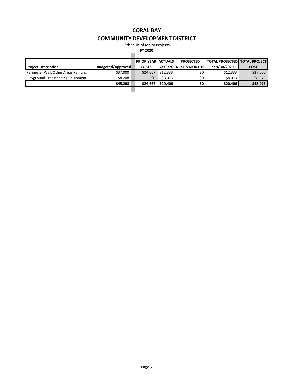**Schedule of Major Projects**

**FY 2020**

|                                     |                   | <b>PRIOR YEAR ACTUALS</b> |          | <b>PROJECTED</b>      | <b>TOTAL PROJECTED   TOTAL PROJECT</b> |             |
|-------------------------------------|-------------------|---------------------------|----------|-----------------------|----------------------------------------|-------------|
| <b>Project Description</b>          | Budgeted/Approved | <b>COSTS</b>              |          | 4/30/20 NEXT 5 MONTHS | at 9/30/2020                           | <b>COST</b> |
| Perimeter Wall/Other Areas Painting | \$37,000          | \$24.667                  | \$12,333 | \$0                   | \$12,333                               | \$37,000    |
| Playground-Freestanding Equipment   | \$8,208           | \$0                       | \$8,073  | \$0                   | \$8,073                                | \$8,073     |
|                                     | \$45,208          | \$24.667                  | \$20,406 | \$0                   | \$20,406                               | \$45,073    |
|                                     |                   |                           |          |                       |                                        |             |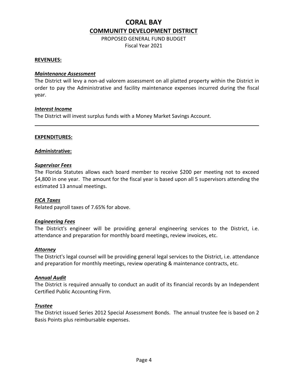PROPOSED GENERAL FUND BUDGET Fiscal Year 2021

#### **REVENUES:**

#### *Maintenance Assessment*

The District will levy a non-ad valorem assessment on all platted property within the District in order to pay the Administrative and facility maintenance expenses incurred during the fiscal year.

#### *Interest Income*

The District will invest surplus funds with a Money Market Savings Account.

#### **EXPENDITURES:**

#### **Administrative:**

#### *Supervisor Fees*

The Florida Statutes allows each board member to receive \$200 per meeting not to exceed \$4,800 in one year. The amount for the fiscal year is based upon all 5 supervisors attending the estimated 13 annual meetings.

#### *FICA Taxes*

Related payroll taxes of 7.65% for above.

#### *Engineering Fees*

The District's engineer will be providing general engineering services to the District, i.e. attendance and preparation for monthly board meetings, review invoices, etc.

#### *Attorney*

The District's legal counsel will be providing general legal services to the District, i.e. attendance and preparation for monthly meetings, review operating & maintenance contracts, etc.

#### *Annual Audit*

The District is required annually to conduct an audit of its financial records by an Independent Certified Public Accounting Firm.

#### *Trustee*

The District issued Series 2012 Special Assessment Bonds. The annual trustee fee is based on 2 Basis Points plus reimbursable expenses.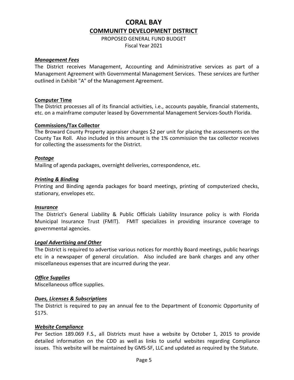PROPOSED GENERAL FUND BUDGET Fiscal Year 2021

#### *Management Fees*

The District receives Management, Accounting and Administrative services as part of a Management Agreement with Governmental Management Services. These services are further outlined in Exhibit "A" of the Management Agreement.

#### **Computer Time**

The District processes all of its financial activities, i.e., accounts payable, financial statements, etc. on a mainframe computer leased by Governmental Management Services-South Florida.

#### **Commissions/Tax Collector**

The Broward County Property appraiser charges \$2 per unit for placing the assessments on the County Tax Roll. Also included in this amount is the 1% commission the tax collector receives for collecting the assessments for the District.

#### *Postage*

Mailing of agenda packages, overnight deliveries, correspondence, etc.

#### *Printing & Binding*

Printing and Binding agenda packages for board meetings, printing of computerized checks, stationary, envelopes etc.

#### *Insurance*

The District's General Liability & Public Officials Liability Insurance policy is with Florida Municipal Insurance Trust (FMIT). FMIT specializes in providing insurance coverage to governmental agencies.

#### *Legal Advertising and Other*

The District is required to advertise various notices for monthly Board meetings, public hearings etc in a newspaper of general circulation. Also included are bank charges and any other miscellaneous expenses that are incurred during the year.

#### *Office Supplies*

Miscellaneous office supplies.

#### *Dues, Licenses & Subscriptions*

The District is required to pay an annual fee to the Department of Economic Opportunity of \$175.

#### *Website Compliance*

Per Section 189.069 F.S., all Districts must have a website by October 1, 2015 to provide detailed information on the CDD as well as links to useful websites regarding Compliance issues. This website will be maintained by GMS-SF, LLC and updated as required by the Statute.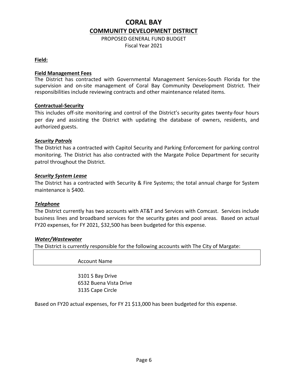PROPOSED GENERAL FUND BUDGET Fiscal Year 2021

#### **Field:**

#### **Field Management Fees**

The District has contracted with Governmental Management Services-South Florida for the supervision and on-site management of Coral Bay Community Development District. Their responsibilities include reviewing contracts and other maintenance related items.

#### **Contractual-Security**

This includes off-site monitoring and control of the District's security gates twenty-four hours per day and assisting the District with updating the database of owners, residents, and authorized guests.

#### *Security Patrols*

The District has a contracted with Capitol Security and Parking Enforcement for parking control monitoring. The District has also contracted with the Margate Police Department for security patrol throughout the District.

#### *Security System Lease*

The District has a contracted with Security & Fire Systems; the total annual charge for System maintenance is \$400.

#### *Telephone*

The District currently has two accounts with AT&T and Services with Comcast. Services include business lines and broadband services for the security gates and pool areas. Based on actual FY20 expenses, for FY 2021, \$32,500 has been budgeted for this expense.

#### *Water/Wastewater*

The District is currently responsible for the following accounts with The City of Margate:

Account Name

3101 S Bay Drive 6532 Buena Vista Drive 3135 Cape Circle

Based on FY20 actual expenses, for FY 21 \$13,000 has been budgeted for this expense.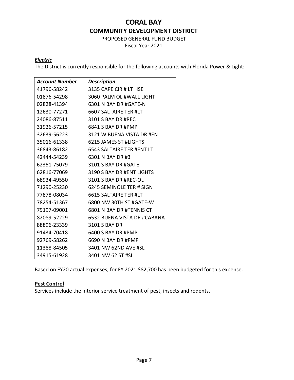PROPOSED GENERAL FUND BUDGET Fiscal Year 2021

### *Electric*

The District is currently responsible for the following accounts with Florida Power & Light:

| <b>Account Number</b> | <b>Description</b>          |
|-----------------------|-----------------------------|
| 41796-58242           | 3135 CAPE CIR # LT HSE      |
| 01876-54298           | 3060 PALM OL #WALL LIGHT    |
| 02828-41394           | 6301 N BAY DR #GATE-N       |
| 12630-77271           | 6607 SALTAIRE TER #LT       |
| 24086-87511           | 3101 S BAY DR #REC          |
| 31926-57215           | 6841 S BAY DR #PMP          |
| 32639-56223           | 3121 W BUENA VISTA DR #EN   |
| 35016-61338           | 6215 JAMES ST #LIGHTS       |
| 36843-86182           | 6543 SALTAIRE TER #ENT LT   |
| 42444-54239           | 6301 N BAY DR #3            |
| 62351-75079           | 3101 S BAY DR #GATE         |
| 62816-77069           | 3190 S BAY DR #ENT LIGHTS   |
| 68934-49550           | 3101 S BAY DR #REC-OL       |
| 71290-25230           | 6245 SEMINOLE TER # SIGN    |
| 77878-08034           | 6615 SALTAIRE TER #LT       |
| 78254-51367           | 6800 NW 30TH ST #GATE-W     |
| 79197-09001           | 6801 N BAY DR #TENNIS CT    |
| 82089-52229           | 6532 BUENA VISTA DR #CABANA |
| 88896-23339           | 3101 S BAY DR               |
| 91434-70418           | 6400 S BAY DR #PMP          |
| 92769-58262           | 6690 N BAY DR #PMP          |
| 11388-84505           | 3401 NW 62ND AVE #SL        |
| 34915-61928           | 3401 NW 62 ST #SL           |

Based on FY20 actual expenses, for FY 2021 \$82,700 has been budgeted for this expense.

#### **Pest Control**

Services include the interior service treatment of pest, insects and rodents.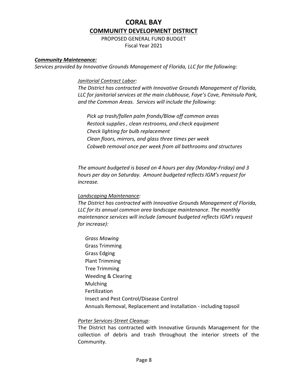PROPOSED GENERAL FUND BUDGET Fiscal Year 2021

#### *Community Maintenance:*

*Services provided by Innovative Grounds Management of Florida, LLC for the following:*

*Janitorial Contract Labor:*

*The District has contracted with Innovative Grounds Management of Florida, LLC for janitorial services at the main clubhouse, Faye's Cove, Peninsula Park, and the Common Areas. Services will include the following:*

 *Pick up trash/fallen palm fronds/Blow off common areas Restock supplies , clean restrooms, and check equipment Check lighting for bulb replacement Clean floors, mirrors, and glass three times per week Cobweb removal once per week from all bathrooms and structures*

*The amount budgeted is based on 4 hours per day (Monday-Friday) and 3 hours per day on Saturday. Amount budgeted reflects IGM's request for increase.*

#### *Landscaping Maintenance:*

*The District has contracted with Innovative Grounds Management of Florida, LLC for its annual common area landscape maintenance. The monthly maintenance services will include (amount budgeted reflects IGM's request for increase):*

 *Grass Mowing* Grass Trimming Grass Edging Plant Trimming Tree Trimming Weeding & Clearing Mulching Fertilization Insect and Pest Control/Disease Control Annuals Removal, Replacement and Installation - including topsoil

#### *Porter Services-Street Cleanup:*

The District has contracted with Innovative Grounds Management for the collection of debris and trash throughout the interior streets of the Community.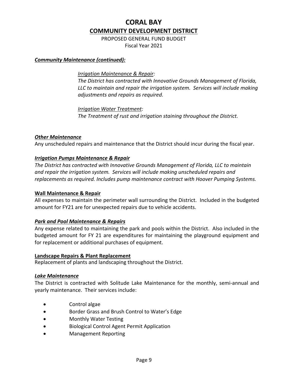PROPOSED GENERAL FUND BUDGET Fiscal Year 2021

#### *Community Maintenance (continued):*

#### *Irrigation Maintenance & Repair:*

*The District has contracted with Innovative Grounds Management of Florida, LLC to maintain and repair the irrigation system. Services will include making adjustments and repairs as required.* 

*Irrigation Water Treatment: The Treatment of rust and irrigation staining throughout the District.* 

#### *Other Maintenance*

Any unscheduled repairs and maintenance that the District should incur during the fiscal year.

#### *Irrigation Pumps Maintenance & Repair*

*The District has contracted with Innovative Grounds Management of Florida, LLC to maintain and repair the irrigation system. Services will include making unscheduled repairs and replacements as required. Includes pump maintenance contract with Hoover Pumping Systems.*

#### **Wall Maintenance & Repair**

All expenses to maintain the perimeter wall surrounding the District. Included in the budgeted amount for FY21 are for unexpected repairs due to vehicle accidents.

#### *Park and Pool Maintenance & Repairs*

Any expense related to maintaining the park and pools within the District. Also included in the budgeted amount for FY 21 are expenditures for maintaining the playground equipment and for replacement or additional purchases of equipment.

#### **Landscape Repairs & Plant Replacement**

Replacement of plants and landscaping throughout the District.

#### *Lake Maintenance*

The District is contracted with Solitude Lake Maintenance for the monthly, semi-annual and yearly maintenance. Their services include:

- Control algae
- Border Grass and Brush Control to Water's Edge
- Monthly Water Testing
- Biological Control Agent Permit Application
- Management Reporting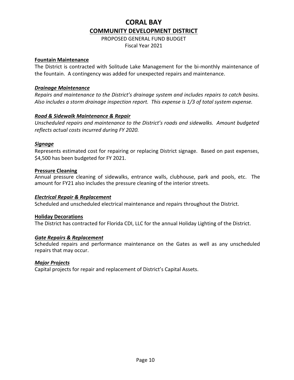PROPOSED GENERAL FUND BUDGET Fiscal Year 2021

#### **Fountain Maintenance**

The District is contracted with Solitude Lake Management for the bi-monthly maintenance of the fountain. A contingency was added for unexpected repairs and maintenance.

#### *Drainage Maintenance*

*Repairs and maintenance to the District's drainage system and includes repairs to catch basins. Also includes a storm drainage inspection report. This expense is 1/3 of total system expense.* 

#### *Road & Sidewalk Maintenance & Repair*

*Unscheduled repairs and maintenance to the District's roads and sidewalks. Amount budgeted reflects actual costs incurred during FY 2020.*

#### *Signage*

Represents estimated cost for repairing or replacing District signage. Based on past expenses, \$4,500 has been budgeted for FY 2021.

#### **Pressure Cleaning**

Annual pressure cleaning of sidewalks, entrance walls, clubhouse, park and pools, etc. The amount for FY21 also includes the pressure cleaning of the interior streets.

#### *Electrical Repair & Replacement*

Scheduled and unscheduled electrical maintenance and repairs throughout the District.

#### **Holiday Decorations**

The District has contracted for Florida CDI, LLC for the annual Holiday Lighting of the District.

#### *Gate Repairs & Replacement*

Scheduled repairs and performance maintenance on the Gates as well as any unscheduled repairs that may occur.

#### *Major Projects*

Capital projects for repair and replacement of District's Capital Assets.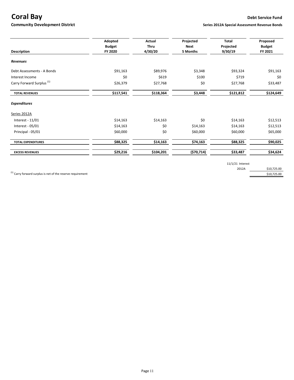### **Coral Bay Debt Service Fund**

**Community Development District Series 2012A Special Assessment Revenue Bonds** 

|                                      | Adopted                  | Actual          | Projected        | <b>Total</b>         | Proposed                 |
|--------------------------------------|--------------------------|-----------------|------------------|----------------------|--------------------------|
| <b>Description</b>                   | <b>Budget</b><br>FY 2020 | Thru<br>4/30/20 | Next<br>5 Months | Projected<br>9/30/19 | <b>Budget</b><br>FY 2021 |
|                                      |                          |                 |                  |                      |                          |
| <b>Revenues</b>                      |                          |                 |                  |                      |                          |
| Debt Assessments - A Bonds           | \$91,163                 | \$89,976        | \$3,348          | \$93,324             | \$91,163                 |
| Interest Income                      | \$0                      | \$619           | \$100            | \$719                | \$0                      |
| Carry Forward Surplus <sup>(1)</sup> | \$26,379                 | \$27,768        | \$0              | \$27,768             | \$33,487                 |
| <b>TOTAL REVENUES</b>                | \$117,541                | \$118,364       | \$3,448          | \$121,812            | \$124,649                |
| <b>Expenditures</b>                  |                          |                 |                  |                      |                          |
| Series 2012A                         |                          |                 |                  |                      |                          |
| Interest - 11/01                     | \$14,163                 | \$14,163        | \$0              | \$14,163             | \$12,513                 |
| Interest - 05/01                     | \$14,163                 | \$0             | \$14,163         | \$14,163             | \$12,513                 |
| Principal - 05/01                    | \$60,000                 | \$0             | \$60,000         | \$60,000             | \$65,000                 |
| <b>TOTAL EXPENDITURES</b>            | \$88,325                 | \$14,163        | \$74,163         | \$88,325             | \$90,025                 |
| <b>EXCESS REVENUES</b>               | \$29,216                 | \$104,201       | (570, 714)       | \$33,487             | \$34,624                 |

11/1/21 Interest

2012A \$10,725.00

 $^{(1)}$  Carry forward surplus is net of the reserve requirement  $$10,725.00$